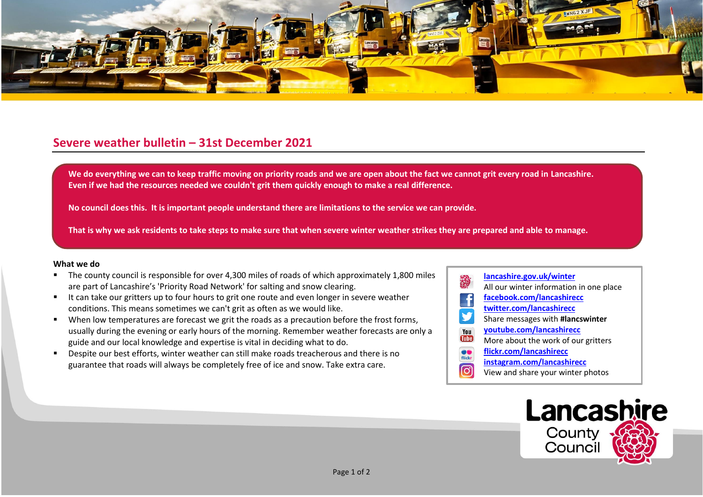

## **Severe weather bulletin – 31st December 2021**

We do everything we can to keep traffic moving on priority roads and we are open about the fact we cannot grit every road in Lancashire. **Even if we had the resources needed we couldn't grit them quickly enough to make a real difference.**

**No council does this. It is important people understand there are limitations to the service we can provide.**

**That is why we ask residents to take steps to make sure that when severe winter weather strikes they are prepared and able to manage.**

## **What we do**

- The county council is responsible for over 4,300 miles of roads of which approximately 1,800 miles are part of Lancashire's 'Priority Road Network' for salting and snow clearing.
- It can take our gritters up to four hours to grit one route and even longer in severe weather conditions. This means sometimes we can't grit as often as we would like.
- When low temperatures are forecast we grit the roads as a precaution before the frost forms, usually during the evening or early hours of the morning. Remember weather forecasts are only a guide and our local knowledge and expertise is vital in deciding what to do.
- Despite our best efforts, winter weather can still make roads treacherous and there is no guarantee that roads will always be completely free of ice and snow. Take extra care.
- **[lancashire.gov.uk/winter](http://www.lancashire.gov.uk/winter)** All our winter information in one place **[facebook.com/lancashirecc](http://www.facebook.com/lancashirecc) [twitter.com/lancashirecc](http://www.twitter.com/lancashirecc)** y Share messages with **#lancswinter [youtube.com/lancashirecc](http://www.youtube.com/lancashirecc)** You **Tilte** More about the work of our gritters  $\bullet$ **[flickr.com/lancashirecc](http://www.flickr.com/lancashirecc)** flickr **[instagram.com/lancashirecc](http://www.instagram.com/lancashirecc)** [O] View and share your winter photos